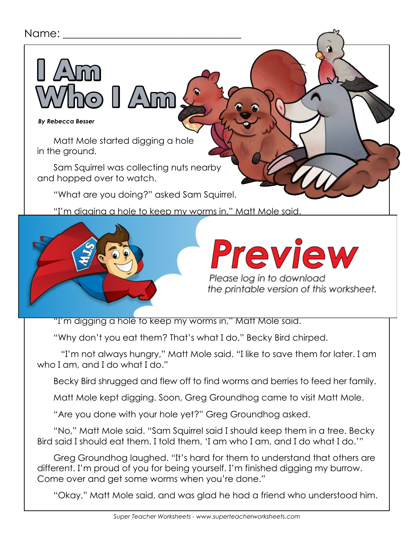### Name:

#### *By Rebecca Besser*

**I Am** 

Matt Mole started digging a hole in the ground.

Sam Squirrel was collecting nuts nearby and hopped over to watch.

**Who I Am**

"What are you doing?" asked Sam Squirrel.

"I'm digging a hole to keep my worms in," Matt Mole said.



## Preview

Please log in to download the printable version of this worksheet.

"I'm digging a hole to keep my worms in," Matt Mole said.

"Why don't you eat them? That's what I do," Becky Bird chirped.

 "I'm not always hungry," Matt Mole said. "I like to save them for later. I am who I am, and I do what I do."

Becky Bird shrugged and flew off to find worms and berries to feed her family.

Matt Mole kept digging. Soon, Greg Groundhog came to visit Matt Mole.

"Are you done with your hole yet?" Greg Groundhog asked.

"No," Matt Mole said. "Sam Squirrel said I should keep them in a tree. Becky Bird said I should eat them. I told them, 'I am who I am, and I do what I do.'"

Greg Groundhog laughed. "It's hard for them to understand that others are different. I'm proud of you for being yourself. I'm finished digging my burrow. Come over and get some worms when you're done."

"Okay," Matt Mole said, and was glad he had a friend who understood him.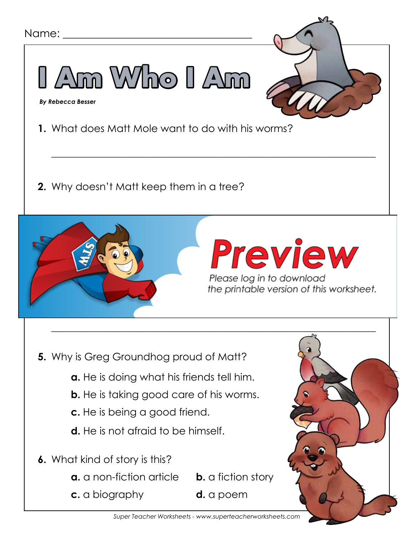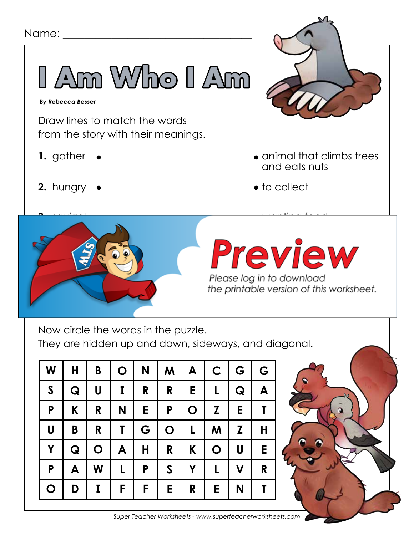

| W            | H | B                         | $\mathbf O$ | N | M            | A           | $\mathsf{C}$ | G                       | G            |
|--------------|---|---------------------------|-------------|---|--------------|-------------|--------------|-------------------------|--------------|
| $\mathsf{S}$ | Q | $\boldsymbol{\mathsf{U}}$ | I           | R | R            | Е           | L            | Q                       | A            |
| P            | K | R                         | N           | Е | P            | $\mathbf O$ | Z            | Е                       | $\mathsf{T}$ |
| U            | B | R                         | T           | G | $\mathbf O$  | L           | M            | Z                       | Н            |
| Y            | Q | $\mathbf O$               | A           | H | R            | K           | $\mathbf O$  | U                       | E            |
| P            | A | W                         | L           | P | $\mathsf{S}$ | Y           | L            | $\overline{\mathsf{V}}$ | R            |
| $\mathbf O$  | D | I                         | F           | F | E.           | R           | Е            | N                       |              |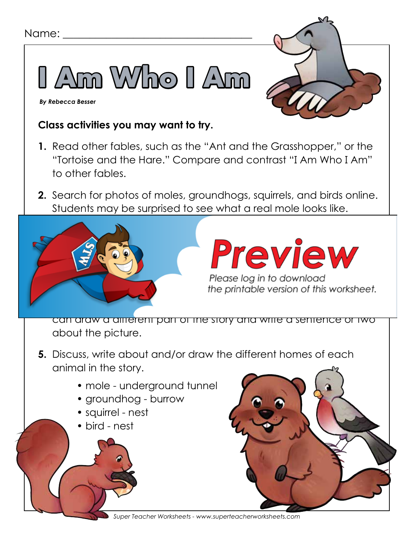

 *By Rebecca Besser*

### **Class activities you may want to try.**

- **1.** Read other fables, such as the "Ant and the Grasshopper," or the "Tortoise and the Hare." Compare and contrast "I Am Who I Am" to other fables.
- **2.** Search for photos of moles, groundhogs, squirrels, and birds online. Students may be surprised to see what a real mole looks like.



# *you search for "moles" online, you may get some other types of*

Please log in to download<br>the printable version of this worksheet.

can draw a different part of the story and write a sentence or two about the picture.

- **5.** Discuss, write about and/or draw the different homes of each animal in the story.
	- mole underground tunnel
	- groundhog burrow
	- squirrel nest
	- bird nest

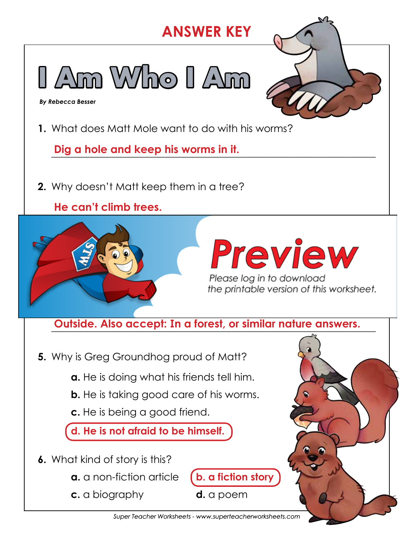### **ANSWER KEY I Am Who I Am**  *By Rebecca Besser***1.** What does Matt Mole want to do with his worms? Dig a hole and keep his worms in it. **2.** Why doesn't Matt keep them in a tree? **He can't climb trees.** \_\_\_\_\_\_\_\_\_\_\_\_\_\_\_\_\_\_\_\_\_\_\_\_\_\_\_\_\_\_\_\_\_\_\_\_\_\_\_\_\_\_\_\_\_\_\_\_\_\_\_\_\_\_\_\_\_\_\_\_\_\_\_\_ Preview **3.** Why doesn't matter that the same of the same of the same of the same of the same of the same of the same of the same of the same of the same of the same of the same of the same of the same of the same of the same of t **He is not hungry.** the printable version of this worksheet. **4.** What is the setting of this story? Outside. Also accept: In a forest, or similar nature answers. **5.** Why is Greg Groundhog proud of Matt? **a.** He is doing what his friends tell him. **b.** He is taking good care of his worms. **c.** He is being a good friend. **d. He is not afraid to be himself. 6.** What kind of story is this?

- **a.** a non-fiction article (**b.** a fiction story
- **c.** a biography **d.** a poem